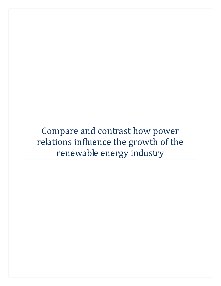Compare and contrast how power relations influence the growth of the renewable energy industry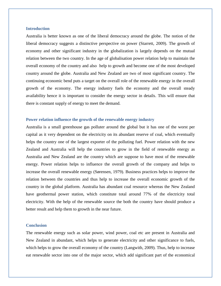## **Introduction**

Australia is better known as one of the liberal democracy around the globe. The notion of the liberal democracy suggests a distinctive perspective on power (Starrett, 2009). The growth of economy and other significant industry in the globalization is largely depends on the mutual relation between the two country. In the age of globalisation power relation help to maintain the overall economy of the country and also help to growth and become one of the most developed country around the globe. Australia and New Zealand are two of most significant country. The continuing economic bend puts a target on the overall role of the renewable energy in the overall growth of the economy. The energy industry fuels the economy and the overall steady availability hence it is important to consider the energy sector in details. This will ensure that there is constant supply of energy to meet the demand.

## **Power relation influence the growth of the renewable energy industry**

Australia is a small greenhouse gas polluter around the global but it has one of the worst per capital as it very dependent on the electricity on its abundant reserve of coal, which eventually helps the country one of the largest exporter of the polluting fuel. Power relation with the new Zealand and Australia will help the countries to grow in the field of renewable energy as Australia and New Zealand are the country which are suppose to have most of the renewable energy. Power relation helps to influence the overall growth of the company and helps to increase the overall renewable energy (Sørensen, 1979). Business practices helps to improve the relation between the countries and thus help to increase the overall economic growth of the country in the global platform. Australia has abundant coal resource whereas the New Zealand have geothermal power station, which constitute total around 77% of the electricity total electricity. With the help of the renewable source the both the country have should produce a better result and help them to growth in the near future.

## **Conclusion**

The renewable energy such as solar power, wind power, coal etc are present in Australia and New Zealand in abundant, which helps to generate electricity and other significance to fuels, which helps to grow the overall economy of the country (Langwith, 2009). Thus, help to increase eat renewable sector into one of the major sector, which add significant part of the economical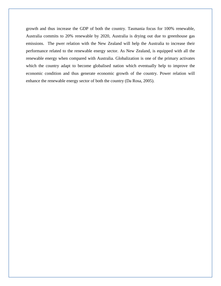growth and thus increase the GDP of both the country. Tasmania focus for 100% renewable, Australia commits to 20% renewable by 2020, Australia is drying out due to greenhouse gas emissions. The pwer relation with the New Zealand will help the Australia to increase their performance related to the renewable energy sector. As New Zealand, is equipped with all the renewable energy when compared with Australia. Globalization is one of the primary activates which the country adapt to become globalised nation which eventually help to improve the economic condition and thus generate economic growth of the country. Power relation will enhance the renewable energy sector of both the country (Da Rosa, 2005).